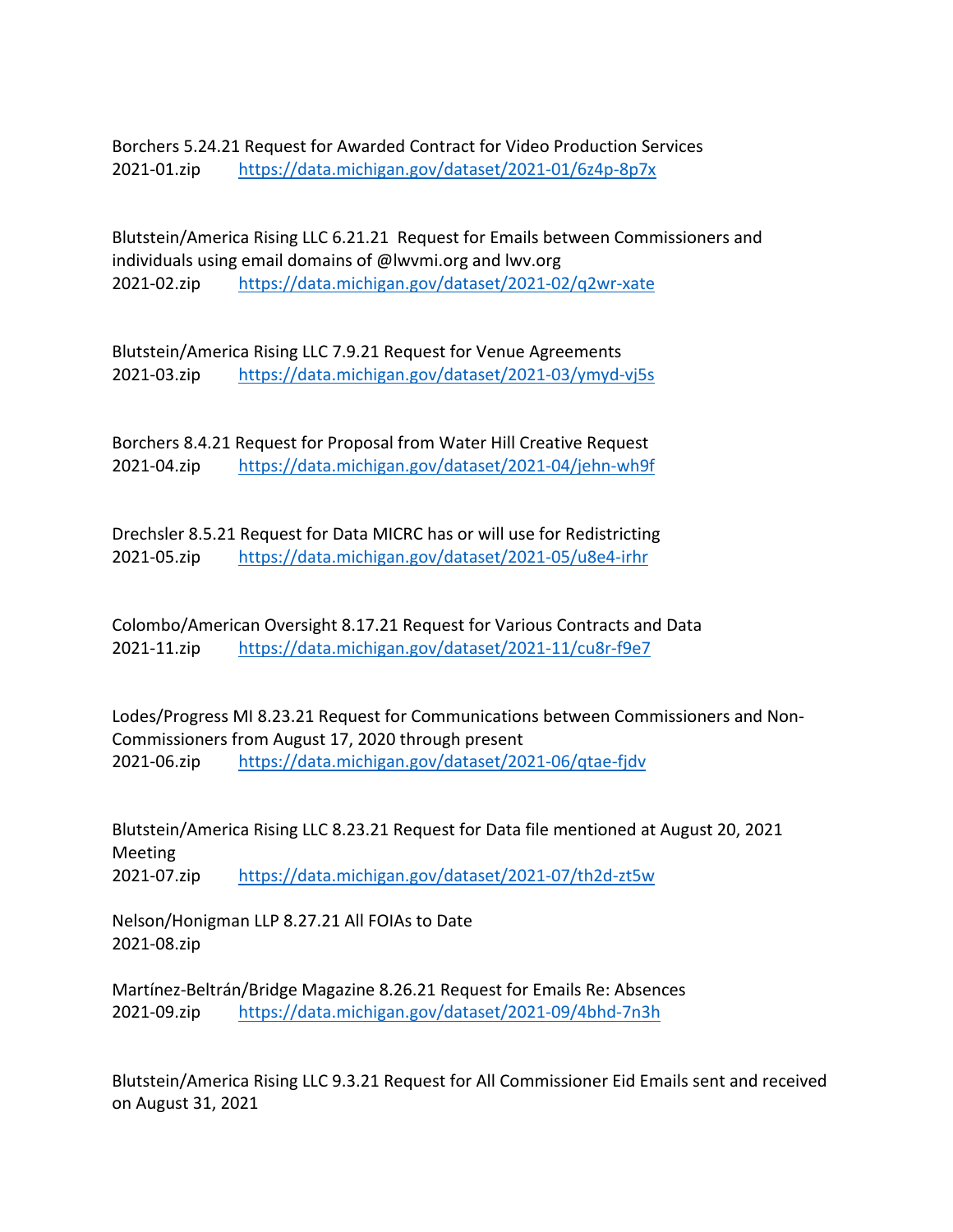Borchers 5.24.21 Request for Awarded Contract for Video Production Services 2021-01.zip <https://data.michigan.gov/dataset/2021-01/6z4p-8p7x>

Blutstein/America Rising LLC 6.21.21 Request for Emails between Commissioners and individuals using email domains of @lwvmi.org and lwv.org 2021-02.zip <https://data.michigan.gov/dataset/2021-02/q2wr-xate>

Blutstein/America Rising LLC 7.9.21 Request for Venue Agreements 2021-03.zip <https://data.michigan.gov/dataset/2021-03/ymyd-vj5s>

Borchers 8.4.21 Request for Proposal from Water Hill Creative Request 2021-04.zip <https://data.michigan.gov/dataset/2021-04/jehn-wh9f>

Drechsler 8.5.21 Request for Data MICRC has or will use for Redistricting 2021-05.zip <https://data.michigan.gov/dataset/2021-05/u8e4-irhr>

Colombo/American Oversight 8.17.21 Request for Various Contracts and Data 2021-11.zip <https://data.michigan.gov/dataset/2021-11/cu8r-f9e7>

Lodes/Progress MI 8.23.21 Request for Communications between Commissioners and Non-Commissioners from August 17, 2020 through present 2021-06.zip <https://data.michigan.gov/dataset/2021-06/qtae-fjdv>

Blutstein/America Rising LLC 8.23.21 Request for Data file mentioned at August 20, 2021 Meeting 2021-07.zip <https://data.michigan.gov/dataset/2021-07/th2d-zt5w>

Nelson/Honigman LLP 8.27.21 All FOIAs to Date 2021-08.zip

Martínez-Beltrán/Bridge Magazine 8.26.21 Request for Emails Re: Absences 2021-09.zip <https://data.michigan.gov/dataset/2021-09/4bhd-7n3h>

Blutstein/America Rising LLC 9.3.21 Request for All Commissioner Eid Emails sent and received on August 31, 2021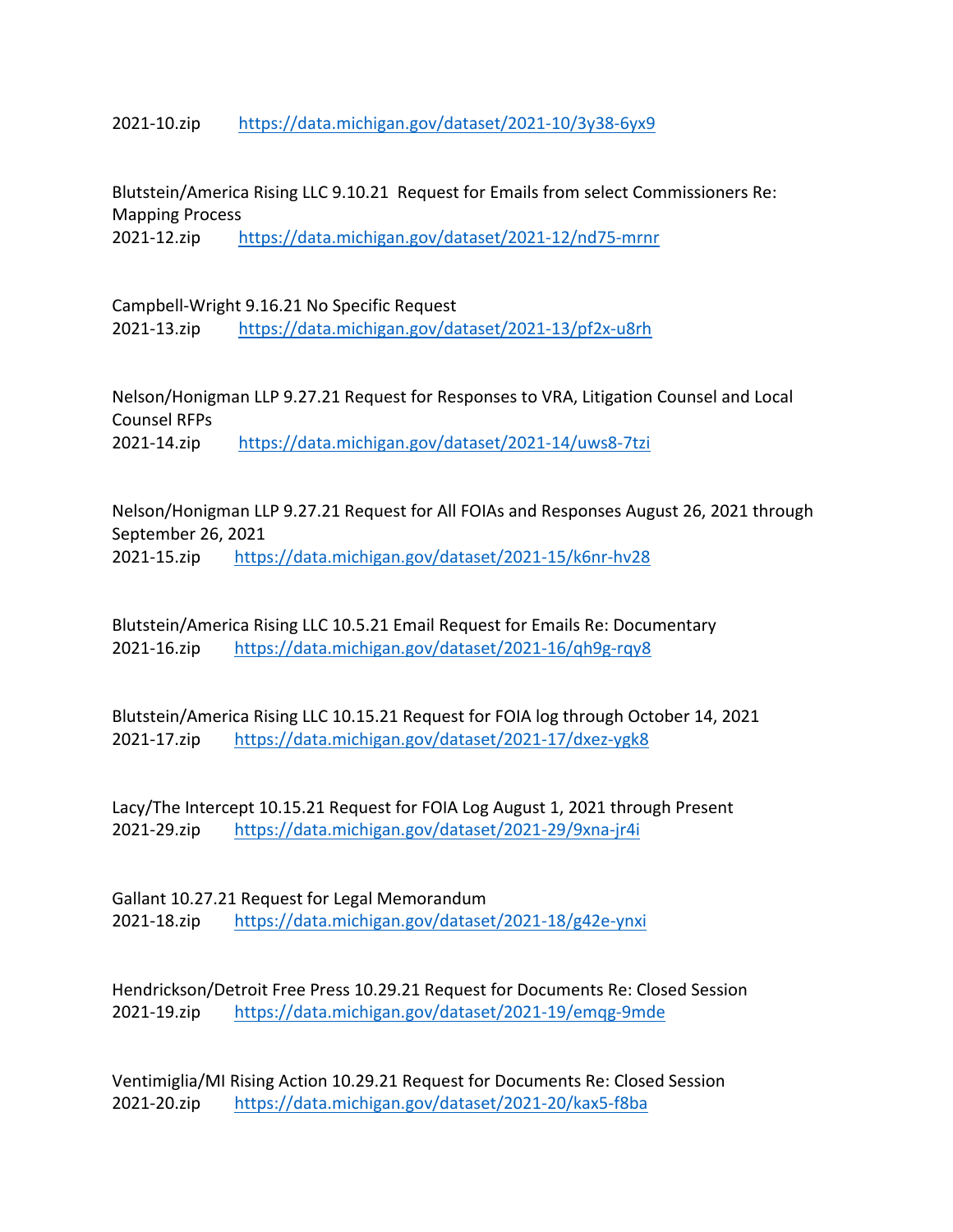2021-10.zip <https://data.michigan.gov/dataset/2021-10/3y38-6yx9>

Blutstein/America Rising LLC 9.10.21 Request for Emails from select Commissioners Re: Mapping Process

2021-12.zip <https://data.michigan.gov/dataset/2021-12/nd75-mrnr>

Campbell-Wright 9.16.21 No Specific Request 2021-13.zip <https://data.michigan.gov/dataset/2021-13/pf2x-u8rh>

Nelson/Honigman LLP 9.27.21 Request for Responses to VRA, Litigation Counsel and Local Counsel RFPs 2021-14.zip <https://data.michigan.gov/dataset/2021-14/uws8-7tzi>

Nelson/Honigman LLP 9.27.21 Request for All FOIAs and Responses August 26, 2021 through September 26, 2021 2021-15.zip <https://data.michigan.gov/dataset/2021-15/k6nr-hv28>

Blutstein/America Rising LLC 10.5.21 Email Request for Emails Re: Documentary 2021-16.zip <https://data.michigan.gov/dataset/2021-16/qh9g-rqy8>

Blutstein/America Rising LLC 10.15.21 Request for FOIA log through October 14, 2021 2021-17.zip <https://data.michigan.gov/dataset/2021-17/dxez-ygk8>

Lacy/The Intercept 10.15.21 Request for FOIA Log August 1, 2021 through Present 2021-29.zip <https://data.michigan.gov/dataset/2021-29/9xna-jr4i>

Gallant 10.27.21 Request for Legal Memorandum 2021-18.zip <https://data.michigan.gov/dataset/2021-18/g42e-ynxi>

Hendrickson/Detroit Free Press 10.29.21 Request for Documents Re: Closed Session 2021-19.zip <https://data.michigan.gov/dataset/2021-19/emqg-9mde>

Ventimiglia/MI Rising Action 10.29.21 Request for Documents Re: Closed Session 2021-20.zip <https://data.michigan.gov/dataset/2021-20/kax5-f8ba>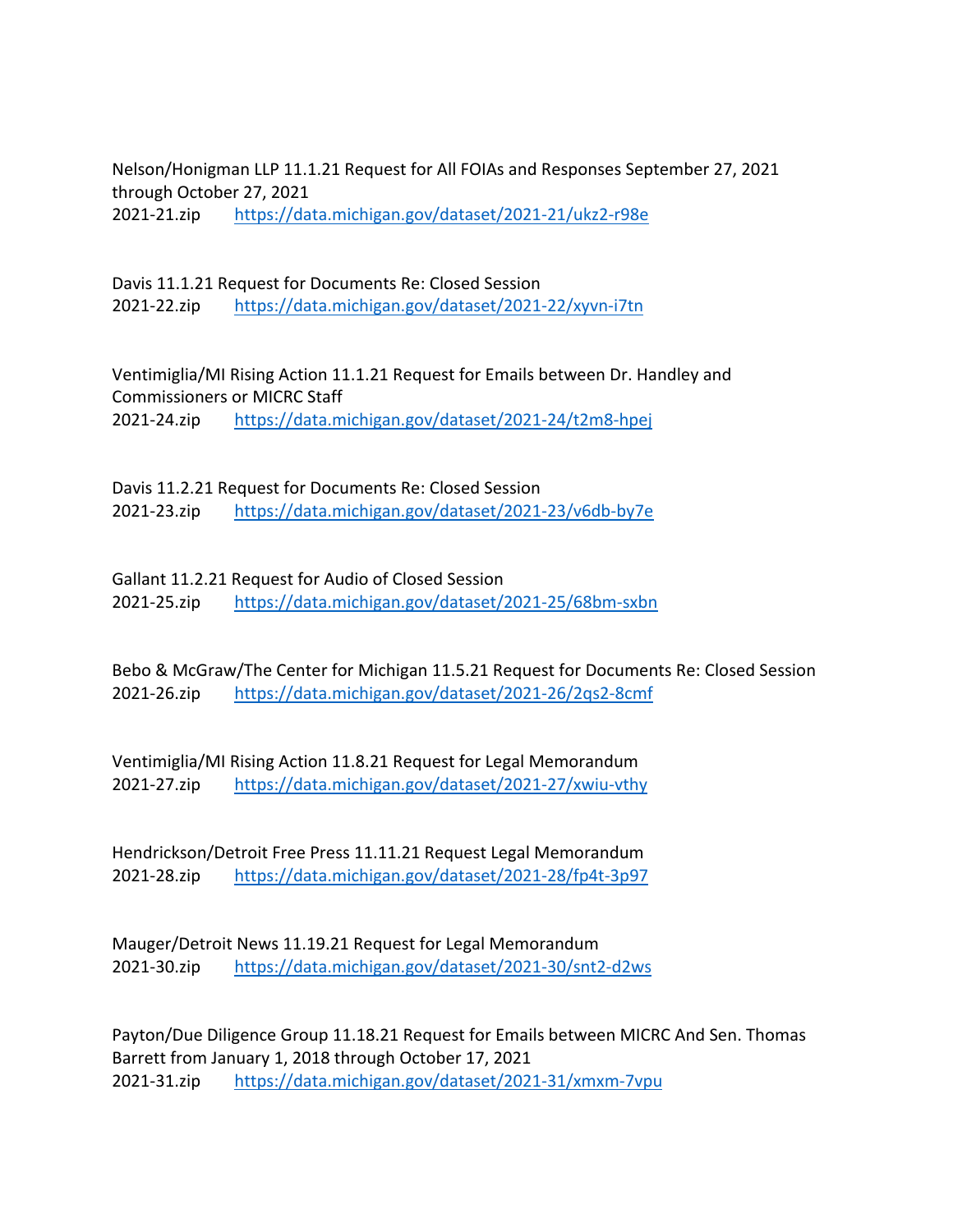Nelson/Honigman LLP 11.1.21 Request for All FOIAs and Responses September 27, 2021 through October 27, 2021 2021-21.zip <https://data.michigan.gov/dataset/2021-21/ukz2-r98e>

Davis 11.1.21 Request for Documents Re: Closed Session 2021-22.zip <https://data.michigan.gov/dataset/2021-22/xyvn-i7tn>

Ventimiglia/MI Rising Action 11.1.21 Request for Emails between Dr. Handley and Commissioners or MICRC Staff 2021-24.zip <https://data.michigan.gov/dataset/2021-24/t2m8-hpej>

Davis 11.2.21 Request for Documents Re: Closed Session 2021-23.zip <https://data.michigan.gov/dataset/2021-23/v6db-by7e>

Gallant 11.2.21 Request for Audio of Closed Session 2021-25.zip <https://data.michigan.gov/dataset/2021-25/68bm-sxbn>

Bebo & McGraw/The Center for Michigan 11.5.21 Request for Documents Re: Closed Session 2021-26.zip <https://data.michigan.gov/dataset/2021-26/2qs2-8cmf>

Ventimiglia/MI Rising Action 11.8.21 Request for Legal Memorandum 2021-27.zip <https://data.michigan.gov/dataset/2021-27/xwiu-vthy>

Hendrickson/Detroit Free Press 11.11.21 Request Legal Memorandum 2021-28.zip <https://data.michigan.gov/dataset/2021-28/fp4t-3p97>

Mauger/Detroit News 11.19.21 Request for Legal Memorandum 2021-30.zip <https://data.michigan.gov/dataset/2021-30/snt2-d2ws>

Payton/Due Diligence Group 11.18.21 Request for Emails between MICRC And Sen. Thomas Barrett from January 1, 2018 through October 17, 2021 2021-31.zip <https://data.michigan.gov/dataset/2021-31/xmxm-7vpu>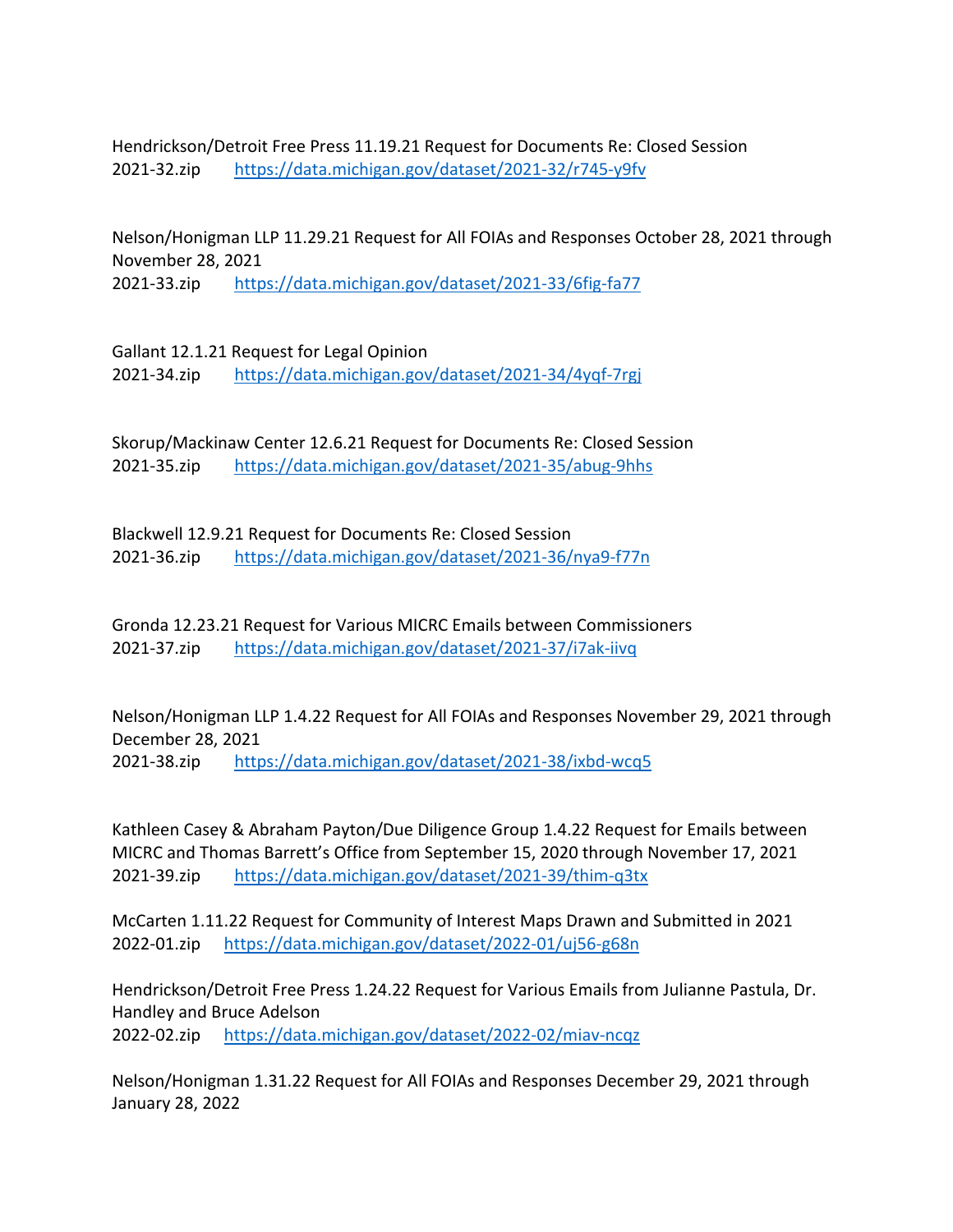Hendrickson/Detroit Free Press 11.19.21 Request for Documents Re: Closed Session 2021-32.zip <https://data.michigan.gov/dataset/2021-32/r745-y9fv>

Nelson/Honigman LLP 11.29.21 Request for All FOIAs and Responses October 28, 2021 through November 28, 2021

2021-33.zip <https://data.michigan.gov/dataset/2021-33/6fig-fa77>

Gallant 12.1.21 Request for Legal Opinion 2021-34.zip <https://data.michigan.gov/dataset/2021-34/4yqf-7rgj>

Skorup/Mackinaw Center 12.6.21 Request for Documents Re: Closed Session 2021-35.zip <https://data.michigan.gov/dataset/2021-35/abug-9hhs>

Blackwell 12.9.21 Request for Documents Re: Closed Session 2021-36.zip <https://data.michigan.gov/dataset/2021-36/nya9-f77n>

Gronda 12.23.21 Request for Various MICRC Emails between Commissioners 2021-37.zip <https://data.michigan.gov/dataset/2021-37/i7ak-iivq>

Nelson/Honigman LLP 1.4.22 Request for All FOIAs and Responses November 29, 2021 through December 28, 2021

2021-38.zip <https://data.michigan.gov/dataset/2021-38/ixbd-wcq5>

Kathleen Casey & Abraham Payton/Due Diligence Group 1.4.22 Request for Emails between MICRC and Thomas Barrett's Office from September 15, 2020 through November 17, 2021 2021-39.zip <https://data.michigan.gov/dataset/2021-39/thim-q3tx>

McCarten 1.11.22 Request for Community of Interest Maps Drawn and Submitted in 2021 2022-01.zip <https://data.michigan.gov/dataset/2022-01/uj56-g68n>

Hendrickson/Detroit Free Press 1.24.22 Request for Various Emails from Julianne Pastula, Dr. Handley and Bruce Adelson

2022-02.zip <https://data.michigan.gov/dataset/2022-02/miav-ncqz>

Nelson/Honigman 1.31.22 Request for All FOIAs and Responses December 29, 2021 through January 28, 2022